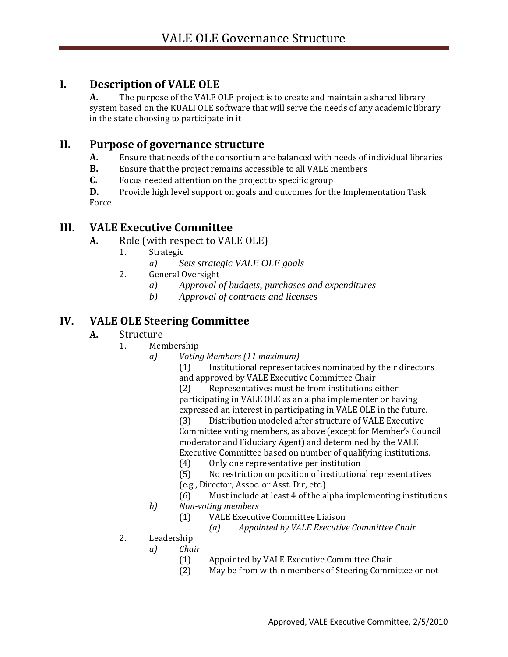# **I. Description of VALE OLE**

**A.** The purpose of the VALE OLE project is to create and maintain a shared library system based on the KUALI OLE software that will serve the needs of any academic library in the state choosing to participate in it

# **II. Purpose of governance structure**

- **A.** Ensure that needs of the consortium are balanced with needs of individual libraries
- **B.** Ensure that the project remains accessible to all VALE members
- **C.** Focus needed attention on the project to specific group

**D.** Provide high level support on goals and outcomes for the Implementation Task Force

# **III. VALE Executive Committee**

- **A.** Role (with respect to VALE OLE)
	- 1. Strategic
		- *a) Sets strategic VALE OLE goals*
	- 2. General Oversight
		- *a) Approval of budgets, purchases and expenditures*
		- *b) Approval of contracts and licenses*

# **IV. VALE OLE Steering Committee**

### **A.** Structure

- 1. Membership
	- *a) Voting Members (11 maximum)*

(1) Institutional representatives nominated by their directors and approved by VALE Executive Committee Chair

(2) Representatives must be from institutions either participating in VALE OLE as an alpha implementer or having expressed an interest in participating in VALE OLE in the future.

(3) Distribution modeled after structure of VALE Executive Committee voting members, as above (except for Member's Council moderator and Fiduciary Agent) and determined by the VALE Executive Committee based on number of qualifying institutions.

- (4) Only one representative per institution
- (5) No restriction on position of institutional representatives (e.g., Director, Assoc. or Asst. Dir, etc.)
- (6) Must include at least 4 of the alpha implementing institutions
- *b) Non-voting members*
	- (1) VALE Executive Committee Liaison
		- *(a) Appointed by VALE Executive Committee Chair*
- 2. Leadership
	- *a) Chair*
		- (1) Appointed by VALE Executive Committee Chair
		- (2) May be from within members of Steering Committee or not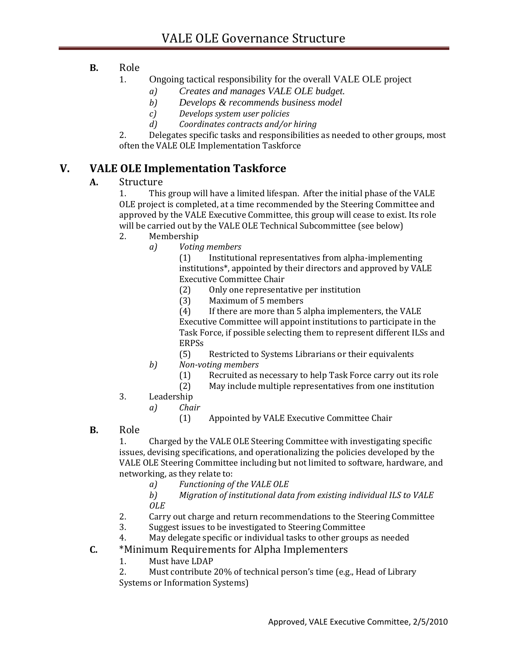### **B.** Role

- 1. Ongoing tactical responsibility for the overall VALE OLE project
	- *a) Creates and manages VALE OLE budget.*
	- *b) Develops & recommends business model*
	- *c) Develops system user policies*
	- *d) Coordinates contracts and/or hiring*

2. Delegates specific tasks and responsibilities as needed to other groups, most often the VALE OLE Implementation Taskforce

# **V. VALE OLE Implementation Taskforce**

### **A.** Structure

1. This group will have a limited lifespan. After the initial phase of the VALE OLE project is completed, at a time recommended by the Steering Committee and approved by the VALE Executive Committee, this group will cease to exist. Its role will be carried out by the VALE OLE Technical Subcommittee (see below)

- 2. Membership
	- *a) Voting members*

(1) Institutional representatives from alpha-implementing institutions\*, appointed by their directors and approved by VALE Executive Committee Chair

- (2) Only one representative per institution
- (3) Maximum of 5 members

(4) If there are more than 5 alpha implementers, the VALE Executive Committee will appoint institutions to participate in the Task Force, if possible selecting them to represent different ILSs and ERPSs

- (5) Restricted to Systems Librarians or their equivalents
- *b) Non-voting members*
	- (1) Recruited as necessary to help Task Force carry out its role
	- (2) May include multiple representatives from one institution
- 3. Leadership
	- *a) Chair*
		- (1) Appointed by VALE Executive Committee Chair
- **B.** Role

1. Charged by the VALE OLE Steering Committee with investigating specific issues, devising specifications, and operationalizing the policies developed by the VALE OLE Steering Committee including but not limited to software, hardware, and networking, as they relate to:

*a) Functioning of the VALE OLE* 

*b) Migration of institutional data from existing individual ILS to VALE OLE*

- 2. Carry out charge and return recommendations to the Steering Committee
- 3. Suggest issues to be investigated to Steering Committee

4. May delegate specific or individual tasks to other groups as needed

- **C.** \*Minimum Requirements for Alpha Implementers
	- 1. Must have LDAP

2. Must contribute 20% of technical person's time (e.g., Head of Library Systems or Information Systems)